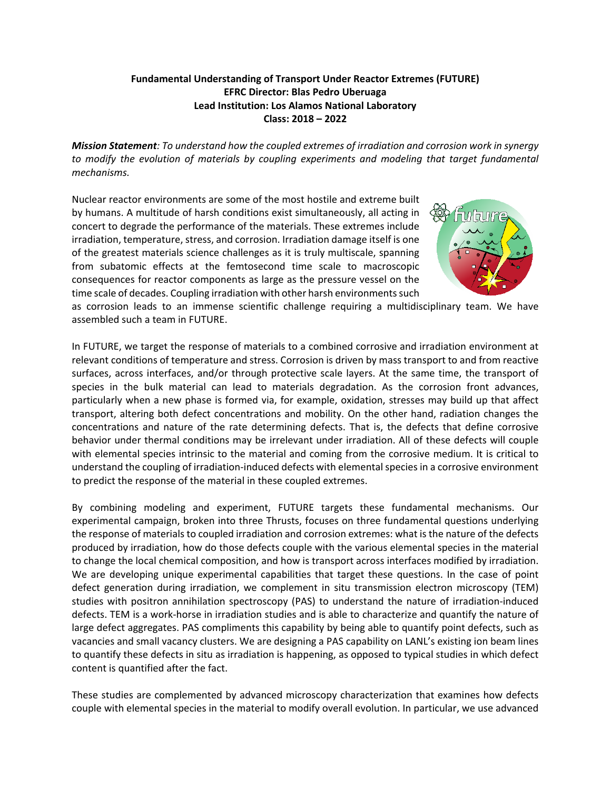## **Fundamental Understanding of Transport Under Reactor Extremes (FUTURE) EFRC Director: Blas Pedro Uberuaga Lead Institution: Los Alamos National Laboratory Class: 2018 – 2022**

*Mission Statement: To understand how the coupled extremes of irradiation and corrosion work in synergy to modify the evolution of materials by coupling experiments and modeling that target fundamental mechanisms.*

Nuclear reactor environments are some of the most hostile and extreme built by humans. A multitude of harsh conditions exist simultaneously, all acting in concert to degrade the performance of the materials. These extremes include irradiation, temperature, stress, and corrosion. Irradiation damage itself is one of the greatest materials science challenges as it is truly multiscale, spanning from subatomic effects at the femtosecond time scale to macroscopic consequences for reactor components as large as the pressure vessel on the time scale of decades. Coupling irradiation with other harsh environments such



as corrosion leads to an immense scientific challenge requiring a multidisciplinary team. We have assembled such a team in FUTURE.

In FUTURE, we target the response of materials to a combined corrosive and irradiation environment at relevant conditions of temperature and stress. Corrosion is driven by mass transport to and from reactive surfaces, across interfaces, and/or through protective scale layers. At the same time, the transport of species in the bulk material can lead to materials degradation. As the corrosion front advances, particularly when a new phase is formed via, for example, oxidation, stresses may build up that affect transport, altering both defect concentrations and mobility. On the other hand, radiation changes the concentrations and nature of the rate determining defects. That is, the defects that define corrosive behavior under thermal conditions may be irrelevant under irradiation. All of these defects will couple with elemental species intrinsic to the material and coming from the corrosive medium. It is critical to understand the coupling of irradiation-induced defects with elemental species in a corrosive environment to predict the response of the material in these coupled extremes.

By combining modeling and experiment, FUTURE targets these fundamental mechanisms. Our experimental campaign, broken into three Thrusts, focuses on three fundamental questions underlying the response of materials to coupled irradiation and corrosion extremes: what is the nature of the defects produced by irradiation, how do those defects couple with the various elemental species in the material to change the local chemical composition, and how is transport across interfaces modified by irradiation. We are developing unique experimental capabilities that target these questions. In the case of point defect generation during irradiation, we complement in situ transmission electron microscopy (TEM) studies with positron annihilation spectroscopy (PAS) to understand the nature of irradiation-induced defects. TEM is a work-horse in irradiation studies and is able to characterize and quantify the nature of large defect aggregates. PAS compliments this capability by being able to quantify point defects, such as vacancies and small vacancy clusters. We are designing a PAS capability on LANL's existing ion beam lines to quantify these defects in situ as irradiation is happening, as opposed to typical studies in which defect content is quantified after the fact.

These studies are complemented by advanced microscopy characterization that examines how defects couple with elemental species in the material to modify overall evolution. In particular, we use advanced